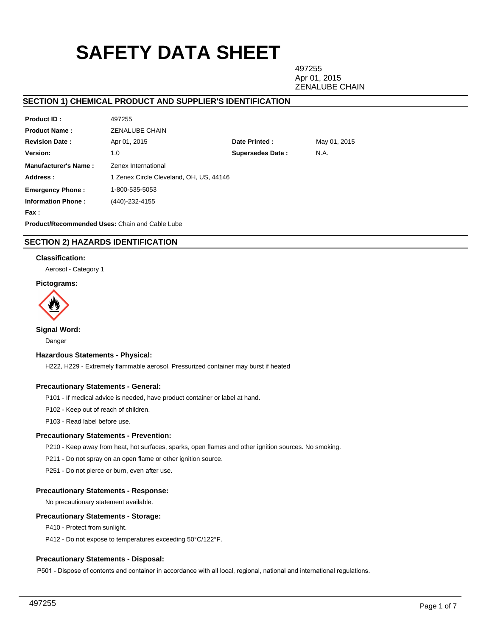# **SAFETY DATA SHEET**

497255 Apr 01, 2015 ZENALUBE CHAIN

## **SECTION 1) CHEMICAL PRODUCT AND SUPPLIER'S IDENTIFICATION**

| .                           | ⊤∪ ≀ ∠∪∪                                |                         |              |
|-----------------------------|-----------------------------------------|-------------------------|--------------|
| <b>Product Name:</b>        | ZENALUBE CHAIN                          |                         |              |
| <b>Revision Date:</b>       | Apr 01, 2015                            | Date Printed:           | May 01, 2015 |
| Version:                    | 1.0                                     | <b>Supersedes Date:</b> | N.A.         |
| <b>Manufacturer's Name:</b> | Zenex International                     |                         |              |
| Address:                    | 1 Zenex Circle Cleveland, OH, US, 44146 |                         |              |
| <b>Emergency Phone:</b>     | 1-800-535-5053                          |                         |              |
| <b>Information Phone:</b>   | (440)-232-4155                          |                         |              |
| Fax:                        |                                         |                         |              |
|                             |                                         |                         |              |

**Product/Recommended Uses:** Chain and Cable Lube

497255

## **SECTION 2) HAZARDS IDENTIFICATION**

## **Classification:**

**Product ID :**

Aerosol - Category 1

## **Pictograms:**



**Signal Word:**

Danger

## **Hazardous Statements - Physical:**

H222, H229 - Extremely flammable aerosol, Pressurized container may burst if heated

## **Precautionary Statements - General:**

P101 - If medical advice is needed, have product container or label at hand.

P102 - Keep out of reach of children.

P103 - Read label before use.

## **Precautionary Statements - Prevention:**

P210 - Keep away from heat, hot surfaces, sparks, open flames and other ignition sources. No smoking.

P211 - Do not spray on an open flame or other ignition source.

P251 - Do not pierce or burn, even after use.

## **Precautionary Statements - Response:**

No precautionary statement available.

## **Precautionary Statements - Storage:**

P410 - Protect from sunlight.

P412 - Do not expose to temperatures exceeding 50°C/122°F.

## **Precautionary Statements - Disposal:**

P501 - Dispose of contents and container in accordance with all local, regional, national and international regulations.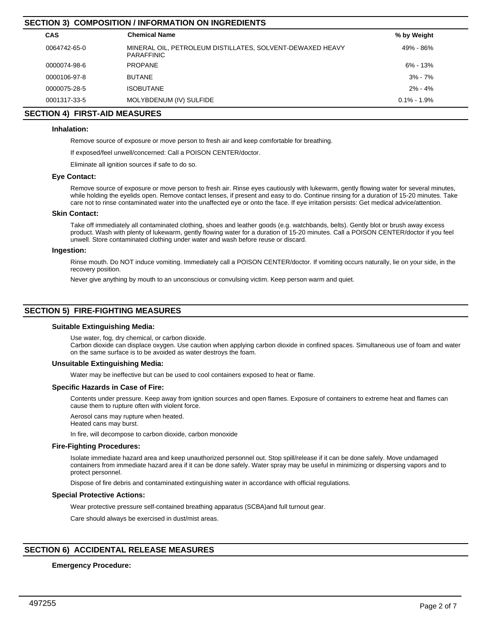# **CAS Chemical Name % by Weight SECTION 3) COMPOSITION / INFORMATION ON INGREDIENTS** 0064742-65-0 MINERAL OIL, PETROLEUM DISTILLATES, SOLVENT-DEWAXED HEAVY PARAFFINIC 49% - 86% 0000074-98-6 PROPANE 6% - 13% 0000106-97-8 BUTANE 3% - 7% 0000075-28-5 ISOBUTANE 2% - 4% 0001317-33-5 MOLYBDENUM (IV) SULFIDE **1.9% - 1.9% - 1.9% - 1.9% - 1.9% - 1.9%** - 1.9% - 1.9% - 1.9% - 1.9% - 1.9%

## **SECTION 4) FIRST-AID MEASURES**

## **Inhalation:**

Remove source of exposure or move person to fresh air and keep comfortable for breathing.

If exposed/feel unwell/concerned: Call a POISON CENTER/doctor.

Eliminate all ignition sources if safe to do so.

## **Eye Contact:**

Remove source of exposure or move person to fresh air. Rinse eyes cautiously with lukewarm, gently flowing water for several minutes, while holding the eyelids open. Remove contact lenses, if present and easy to do. Continue rinsing for a duration of 15-20 minutes. Take care not to rinse contaminated water into the unaffected eye or onto the face. If eye irritation persists: Get medical advice/attention.

#### **Skin Contact:**

Take off immediately all contaminated clothing, shoes and leather goods (e.g. watchbands, belts). Gently blot or brush away excess product. Wash with plenty of lukewarm, gently flowing water for a duration of 15-20 minutes. Call a POISON CENTER/doctor if you feel unwell. Store contaminated clothing under water and wash before reuse or discard.

## **Ingestion:**

Rinse mouth. Do NOT induce vomiting. Immediately call a POISON CENTER/doctor. If vomiting occurs naturally, lie on your side, in the recovery position.

Never give anything by mouth to an unconscious or convulsing victim. Keep person warm and quiet.

## **SECTION 5) FIRE-FIGHTING MEASURES**

#### **Suitable Extinguishing Media:**

Use water, fog, dry chemical, or carbon dioxide.

Carbon dioxide can displace oxygen. Use caution when applying carbon dioxide in confined spaces. Simultaneous use of foam and water on the same surface is to be avoided as water destroys the foam.

## **Unsuitable Extinguishing Media:**

Water may be ineffective but can be used to cool containers exposed to heat or flame.

#### **Specific Hazards in Case of Fire:**

Contents under pressure. Keep away from ignition sources and open flames. Exposure of containers to extreme heat and flames can cause them to rupture often with violent force.

Aerosol cans may rupture when heated. Heated cans may burst.

In fire, will decompose to carbon dioxide, carbon monoxide

#### **Fire-Fighting Procedures:**

Isolate immediate hazard area and keep unauthorized personnel out. Stop spill/release if it can be done safely. Move undamaged containers from immediate hazard area if it can be done safely. Water spray may be useful in minimizing or dispersing vapors and to protect personnel.

Dispose of fire debris and contaminated extinguishing water in accordance with official regulations.

## **Special Protective Actions:**

Wear protective pressure self-contained breathing apparatus (SCBA)and full turnout gear.

Care should always be exercised in dust/mist areas.

# **SECTION 6) ACCIDENTAL RELEASE MEASURES**

# **Emergency Procedure:**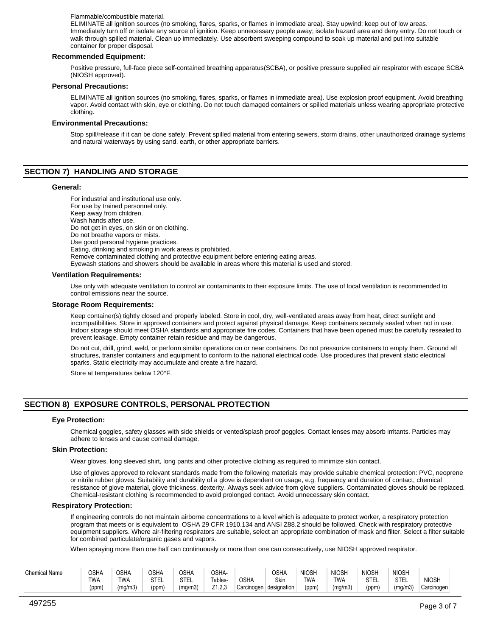#### Flammable/combustible material.

ELIMINATE all ignition sources (no smoking, flares, sparks, or flames in immediate area). Stay upwind; keep out of low areas. Immediately turn off or isolate any source of ignition. Keep unnecessary people away; isolate hazard area and deny entry. Do not touch or walk through spilled material. Clean up immediately. Use absorbent sweeping compound to soak up material and put into suitable container for proper disposal.

## **Recommended Equipment:**

Positive pressure, full-face piece self-contained breathing apparatus(SCBA), or positive pressure supplied air respirator with escape SCBA (NIOSH approved).

#### **Personal Precautions:**

ELIMINATE all ignition sources (no smoking, flares, sparks, or flames in immediate area). Use explosion proof equipment. Avoid breathing vapor. Avoid contact with skin, eye or clothing. Do not touch damaged containers or spilled materials unless wearing appropriate protective clothing.

## **Environmental Precautions:**

Stop spill/release if it can be done safely. Prevent spilled material from entering sewers, storm drains, other unauthorized drainage systems and natural waterways by using sand, earth, or other appropriate barriers.

## **SECTION 7) HANDLING AND STORAGE**

#### **General:**

For industrial and institutional use only. For use by trained personnel only. Keep away from children. Wash hands after use.

Do not get in eyes, on skin or on clothing.

Do not breathe vapors or mists.

Use good personal hygiene practices.

Eating, drinking and smoking in work areas is prohibited. Remove contaminated clothing and protective equipment before entering eating areas.

Eyewash stations and showers should be available in areas where this material is used and stored.

#### **Ventilation Requirements:**

Use only with adequate ventilation to control air contaminants to their exposure limits. The use of local ventilation is recommended to control emissions near the source.

#### **Storage Room Requirements:**

Keep container(s) tightly closed and properly labeled. Store in cool, dry, well-ventilated areas away from heat, direct sunlight and incompatibilities. Store in approved containers and protect against physical damage. Keep containers securely sealed when not in use. Indoor storage should meet OSHA standards and appropriate fire codes. Containers that have been opened must be carefully resealed to prevent leakage. Empty container retain residue and may be dangerous.

Do not cut, drill, grind, weld, or perform similar operations on or near containers. Do not pressurize containers to empty them. Ground all structures, transfer containers and equipment to conform to the national electrical code. Use procedures that prevent static electrical sparks. Static electricity may accumulate and create a fire hazard.

Store at temperatures below 120°F.

# **SECTION 8) EXPOSURE CONTROLS, PERSONAL PROTECTION**

## **Eye Protection:**

Chemical goggles, safety glasses with side shields or vented/splash proof goggles. Contact lenses may absorb irritants. Particles may adhere to lenses and cause corneal damage.

#### **Skin Protection:**

Wear gloves, long sleeved shirt, long pants and other protective clothing as required to minimize skin contact.

Use of gloves approved to relevant standards made from the following materials may provide suitable chemical protection: PVC, neoprene or nitrile rubber gloves. Suitability and durability of a glove is dependent on usage, e.g. frequency and duration of contact, chemical resistance of glove material, glove thickness, dexterity. Always seek advice from glove suppliers. Contaminated gloves should be replaced. Chemical-resistant clothing is recommended to avoid prolonged contact. Avoid unnecessary skin contact.

#### **Respiratory Protection:**

If engineering controls do not maintain airborne concentrations to a level which is adequate to protect worker, a respiratory protection program that meets or is equivalent to OSHA 29 CFR 1910.134 and ANSI Z88.2 should be followed. Check with respiratory protective equipment suppliers. Where air-filtering respirators are suitable, select an appropriate combination of mask and filter. Select a filter suitable for combined particulate/organic gases and vapors.

When spraying more than one half can continuously or more than one can consecutively, use NIOSH approved respirator.

| <b>Chemical Name</b> | <b>OSHA</b><br><b>TWA</b><br>(ppm) | <b>OSHA</b><br><b>TWA</b><br>(mg/m3) | OSHA<br>C <sub>TT</sub><br>ᆡᄂᄂ<br>(ppm) | <b>OSHA</b><br><b>STEL</b><br>(ma/m3) | OSHA-<br>Tables.<br>7400<br>ں ۔ ۔ اے | <b>OSHA</b><br>Carcinogen | <b>OSHA</b><br>Skin<br>designation | <b>NIOSH</b><br><b>TWA</b><br>(ppm) | <b>NIOSH</b><br><b>TWA</b><br>(mq/m3) | <b>NIOSH</b><br><b>STEL</b><br>(ppm) | <b>NIOSH</b><br><b>STEL</b><br>(ma/m3)<br>ັ | <b>NIOSH</b><br>Carcinogen |
|----------------------|------------------------------------|--------------------------------------|-----------------------------------------|---------------------------------------|--------------------------------------|---------------------------|------------------------------------|-------------------------------------|---------------------------------------|--------------------------------------|---------------------------------------------|----------------------------|
|----------------------|------------------------------------|--------------------------------------|-----------------------------------------|---------------------------------------|--------------------------------------|---------------------------|------------------------------------|-------------------------------------|---------------------------------------|--------------------------------------|---------------------------------------------|----------------------------|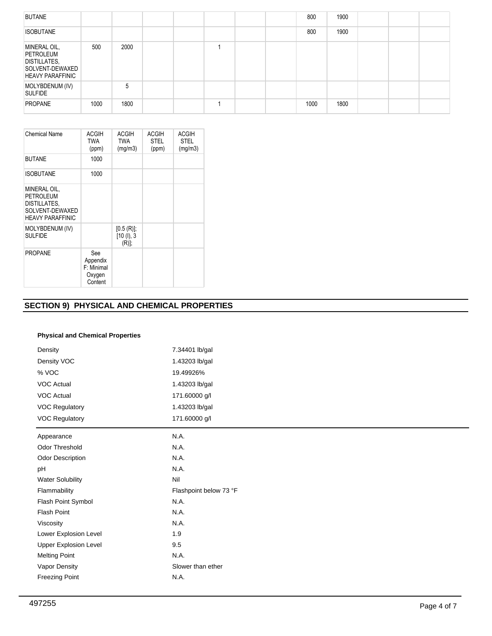| <b>BUTANE</b>                                                                                  |      |      |  |  | 800  | 1900 |  |  |
|------------------------------------------------------------------------------------------------|------|------|--|--|------|------|--|--|
| <b>ISOBUTANE</b>                                                                               |      |      |  |  | 800  | 1900 |  |  |
| MINERAL OIL,<br>PETROLEUM<br><b>DISTILLATES,</b><br>SOLVENT-DEWAXED<br><b>HEAVY PARAFFINIC</b> | 500  | 2000 |  |  |      |      |  |  |
| MOLYBDENUM (IV)<br><b>SULFIDE</b>                                                              |      | 5    |  |  |      |      |  |  |
| <b>PROPANE</b>                                                                                 | 1000 | 1800 |  |  | 1000 | 1800 |  |  |

| <b>Chemical Name</b>                                                                    | ACGIH<br>TWA<br>(ppm)                              | ACGIH<br><b>TWA</b><br>(mg/m3)          | <b>ACGIH</b><br><b>STEL</b><br>(ppm) | <b>ACGIH</b><br><b>STEL</b><br>(mg/m3) |
|-----------------------------------------------------------------------------------------|----------------------------------------------------|-----------------------------------------|--------------------------------------|----------------------------------------|
| <b>BUTANE</b>                                                                           | 1000                                               |                                         |                                      |                                        |
| <b>ISOBUTANE</b>                                                                        | 1000                                               |                                         |                                      |                                        |
| MINERAL OIL,<br>PETROLEUM<br>DISTILLATES,<br>SOLVENT-DEWAXED<br><b>HEAVY PARAFFINIC</b> |                                                    |                                         |                                      |                                        |
| MOLYBDENUM (IV)<br><b>SULFIDE</b>                                                       |                                                    | $[0.5(R)]$ ;<br>[10 (l), 3]<br>$(R)$ ], |                                      |                                        |
| <b>PROPANE</b>                                                                          | See<br>Appendix<br>F: Minimal<br>Oxygen<br>Content |                                         |                                      |                                        |

# **SECTION 9) PHYSICAL AND CHEMICAL PROPERTIES**

## **Physical and Chemical Properties**

| Density                      | 7.34401 lb/gal         |  |  |  |  |  |  |
|------------------------------|------------------------|--|--|--|--|--|--|
| Density VOC                  | 1.43203 lb/gal         |  |  |  |  |  |  |
| % VOC                        | 19.49926%              |  |  |  |  |  |  |
| VOC Actual                   | 1.43203 lb/gal         |  |  |  |  |  |  |
| VOC Actual                   | 171.60000 g/l          |  |  |  |  |  |  |
| <b>VOC Regulatory</b>        | 1.43203 lb/gal         |  |  |  |  |  |  |
| <b>VOC Regulatory</b>        | 171.60000 g/l          |  |  |  |  |  |  |
| Appearance                   | N.A.                   |  |  |  |  |  |  |
| Odor Threshold               | N.A.                   |  |  |  |  |  |  |
| Odor Description             | N.A.                   |  |  |  |  |  |  |
| pH                           | N.A.                   |  |  |  |  |  |  |
| <b>Water Solubility</b>      | Nil                    |  |  |  |  |  |  |
| Flammability                 | Flashpoint below 73 °F |  |  |  |  |  |  |
| Flash Point Symbol           | N.A.                   |  |  |  |  |  |  |
| <b>Flash Point</b>           | N.A.                   |  |  |  |  |  |  |
| Viscosity                    | N.A.                   |  |  |  |  |  |  |
| Lower Explosion Level        | 1.9                    |  |  |  |  |  |  |
| <b>Upper Explosion Level</b> | 9.5                    |  |  |  |  |  |  |
| <b>Melting Point</b>         | N.A.                   |  |  |  |  |  |  |
| Vapor Density                | Slower than ether      |  |  |  |  |  |  |
| <b>Freezing Point</b>        | N.A.                   |  |  |  |  |  |  |
|                              |                        |  |  |  |  |  |  |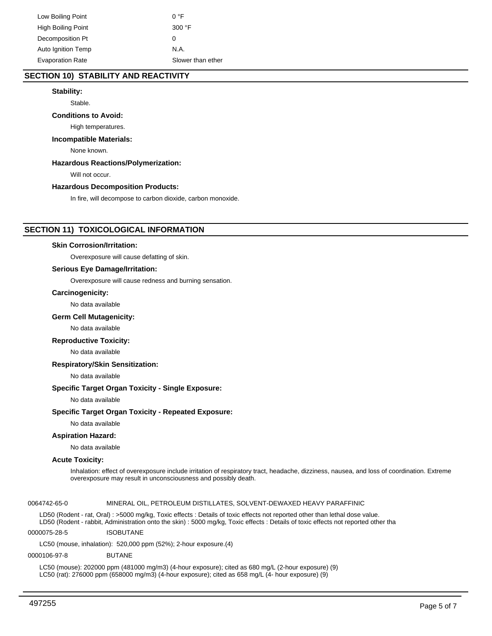## **SECTION 10) STABILITY AND REACTIVITY**

## **Stability:**

Stable.

#### **Conditions to Avoid:**

High temperatures.

#### **Incompatible Materials:**

None known.

## **Hazardous Reactions/Polymerization:**

Will not occur.

## **Hazardous Decomposition Products:**

In fire, will decompose to carbon dioxide, carbon monoxide.

## **SECTION 11) TOXICOLOGICAL INFORMATION**

#### **Skin Corrosion/Irritation:**

Overexposure will cause defatting of skin.

## **Serious Eye Damage/Irritation:**

Overexposure will cause redness and burning sensation.

### **Carcinogenicity:**

No data available

#### **Germ Cell Mutagenicity:**

No data available

## **Reproductive Toxicity:**

No data available

#### **Respiratory/Skin Sensitization:**

No data available

## **Specific Target Organ Toxicity - Single Exposure:**

No data available

### **Specific Target Organ Toxicity - Repeated Exposure:**

No data available

## **Aspiration Hazard:**

No data available

#### **Acute Toxicity:**

Inhalation: effect of overexposure include irritation of respiratory tract, headache, dizziness, nausea, and loss of coordination. Extreme overexposure may result in unconsciousness and possibly death.

## 0064742-65-0 MINERAL OIL, PETROLEUM DISTILLATES, SOLVENT-DEWAXED HEAVY PARAFFINIC

LD50 (Rodent - rat, Oral) : >5000 mg/kg, Toxic effects : Details of toxic effects not reported other than lethal dose value. LD50 (Rodent - rabbit, Administration onto the skin) : 5000 mg/kg, Toxic effects : Details of toxic effects not reported other tha

0000075-28-5 ISOBUTANE

LC50 (mouse, inhalation): 520,000 ppm (52%); 2-hour exposure.(4)

## 0000106-97-8 BUTANE

LC50 (mouse): 202000 ppm (481000 mg/m3) (4-hour exposure); cited as 680 mg/L (2-hour exposure) (9) LC50 (rat): 276000 ppm (658000 mg/m3) (4-hour exposure); cited as 658 mg/L (4- hour exposure) (9)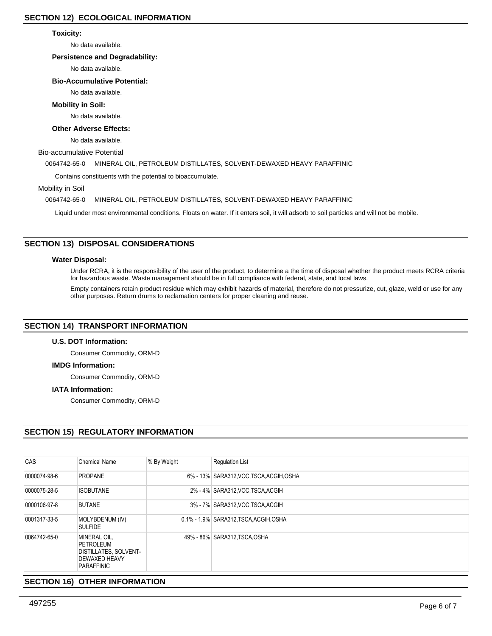## **Toxicity:**

No data available.

## **Persistence and Degradability:**

No data available.

## **Bio-Accumulative Potential:**

No data available.

## **Mobility in Soil:**

No data available.

## **Other Adverse Effects:**

No data available.

Bio-accumulative Potential

0064742-65-0 MINERAL OIL, PETROLEUM DISTILLATES, SOLVENT-DEWAXED HEAVY PARAFFINIC

Contains constituents with the potential to bioaccumulate.

Mobility in Soil

0064742-65-0 MINERAL OIL, PETROLEUM DISTILLATES, SOLVENT-DEWAXED HEAVY PARAFFINIC

Liquid under most environmental conditions. Floats on water. If it enters soil, it will adsorb to soil particles and will not be mobile.

# **SECTION 13) DISPOSAL CONSIDERATIONS**

## **Water Disposal:**

Under RCRA, it is the responsibility of the user of the product, to determine a the time of disposal whether the product meets RCRA criteria for hazardous waste. Waste management should be in full compliance with federal, state, and local laws.

Empty containers retain product residue which may exhibit hazards of material, therefore do not pressurize, cut, glaze, weld or use for any other purposes. Return drums to reclamation centers for proper cleaning and reuse.

## **SECTION 14) TRANSPORT INFORMATION**

## **U.S. DOT Information:**

Consumer Commodity, ORM-D

## **IMDG Information:**

Consumer Commodity, ORM-D

## **IATA Information:**

Consumer Commodity, ORM-D

# **SECTION 15) REGULATORY INFORMATION**

| CAS          | Chemical Name                                                                                   | % By Weight | <b>Regulation List</b>                   |
|--------------|-------------------------------------------------------------------------------------------------|-------------|------------------------------------------|
| 0000074-98-6 | <b>PROPANE</b>                                                                                  |             | 6% - 13% SARA312, VOC, TSCA, ACGIH, OSHA |
| 0000075-28-5 | <b>ISOBUTANE</b>                                                                                |             | 2% - 4% SARA312, VOC TSCA, ACGIH         |
| 0000106-97-8 | <b>BUTANE</b>                                                                                   |             | 3% - 7% SARA312, VOC TSCA, ACGIH         |
| 0001317-33-5 | MOLYBDENUM (IV)<br><b>SULFIDE</b>                                                               |             | 0.1% - 1.9% SARA312, TSCA, ACGIH, OSHA   |
| 0064742-65-0 | MINERAL OIL.<br>PETROLEUM<br><b>DISTILLATES, SOLVENT-</b><br>DEWAXED HEAVY<br><b>PARAFFINIC</b> |             | 49% - 86% SARA312, TSCA, OSHA            |

# **SECTION 16) OTHER INFORMATION**